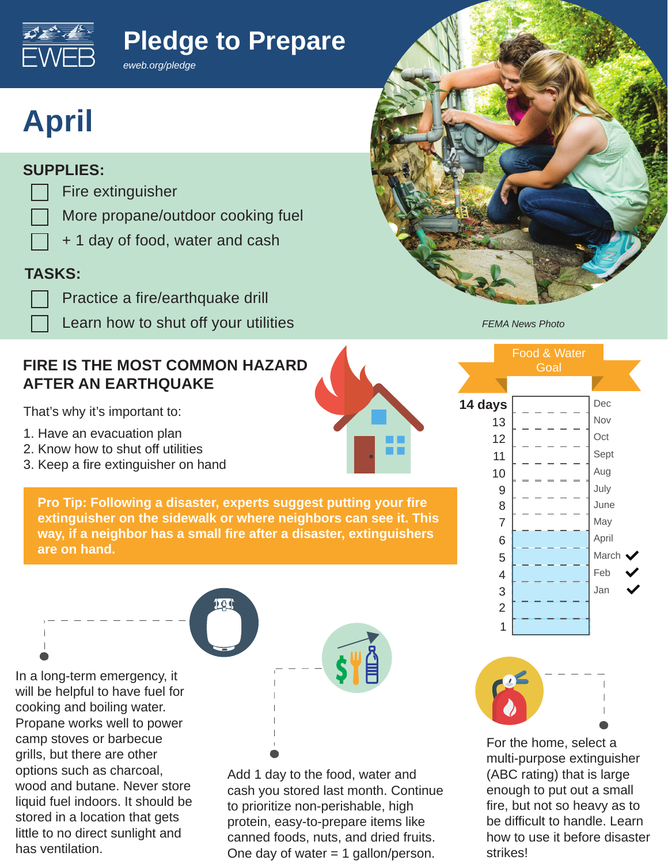# **Pledge to Prepare**



# **April**

## **SUPPLIES:**

- Fire extinguisher
- More propane/outdoor cooking fuel
- + 1 day of food, water and cash

*eweb.org/pledge*

# **TASKS:**

- Practice a fire/earthquake drill
	- Learn how to shut off your utilities

## **FIRE IS THE MOST COMMON HAZARD AFTER AN EARTHQUAKE**

That's why it's important to:

- 1. Have an evacuation plan
- 2. Know how to shut off utilities
- 3. Keep a fire extinguisher on hand



**Pro Tip: Following a disaster, experts suggest putting your fire extinguisher on the sidewalk or where neighbors can see it. This way, if a neighbor has a small fire after a disaster, extinguishers are on hand.** 

In a long-term emergency, it will be helpful to have fuel for cooking and boiling water. Propane works well to power camp stoves or barbecue grills, but there are other options such as charcoal, wood and butane. Never store liquid fuel indoors. It should be stored in a location that gets little to no direct sunlight and has ventilation.



Add 1 day to the food, water and cash you stored last month. Continue to prioritize non-perishable, high protein, easy-to-prepare items like canned foods, nuts, and dried fruits. One day of water  $= 1$  gallon/person.



*FEMA News Photo*





For the home, select a multi-purpose extinguisher (ABC rating) that is large enough to put out a small fire, but not so heavy as to be difficult to handle. Learn how to use it before disaster strikes!